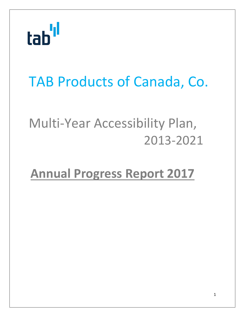

### TAB Products of Canada, Co.

### Multi‐Year Accessibility Plan, 2013‐2021

### **Annual Progress Report 2017**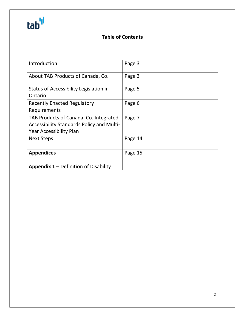## tab'<sup>ıl</sup>

### **Table of Contents**

| Introduction                                     | Page 3  |
|--------------------------------------------------|---------|
| About TAB Products of Canada, Co.                | Page 3  |
| Status of Accessibility Legislation in           | Page 5  |
| Ontario                                          |         |
| <b>Recently Enacted Regulatory</b>               | Page 6  |
| Requirements                                     |         |
| TAB Products of Canada, Co. Integrated           | Page 7  |
| <b>Accessibility Standards Policy and Multi-</b> |         |
| <b>Year Accessibility Plan</b>                   |         |
| <b>Next Steps</b>                                | Page 14 |
|                                                  |         |
| <b>Appendices</b>                                | Page 15 |
|                                                  |         |
| <b>Appendix 1 – Definition of Disability</b>     |         |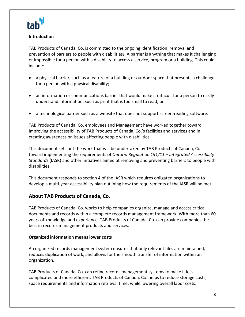

#### **Introduction**

TAB Products of Canada, Co. is committed to the ongoing identification, removal and prevention of barriers to people with disabilities1. A barrier is anything that makes it challenging or impossible for a person with a disability to access a service, program or a building. This could include:

- a physical barrier, such as a feature of a building or outdoor space that presents a challenge for a person with a physical disability;
- an information or communications barrier that would make it difficult for a person to easily understand information, such as print that is too small to read; or
- a technological barrier such as a website that does not support screen-reading software.

TAB Products of Canada, Co. employees and Management have worked together toward improving the accessibility of TAB Products of Canada, Co.'s facilities and services and in creating awareness on issues affecting people with disabilities.

This document sets out the work that will be undertaken by TAB Products of Canada, Co. toward implementing the requirements of *Ontario Regulation 191/11 – Integrated Accessibility Standards* (IASR) and other initiatives aimed at removing and preventing barriers to people with disabilities.

This document responds to section 4 of the IASR which requires obligated organizations to develop a multi‐year accessibility plan outlining how the requirements of the IASR will be met.

#### **About TAB Products of Canada, Co.**

TAB Products of Canada, Co. works to help companies organize, manage and access critical documents and records within a complete records management framework. With more than 60 years of knowledge and experience, TAB Products of Canada, Co. can provide companies the best in records management products and services.

#### **Organized information means lower costs**

An organized records management system ensures that only relevant files are maintained, reduces duplication of work, and allows for the smooth transfer of information within an organization.

TAB Products of Canada, Co. can refine records management systems to make it less complicated and more efficient. TAB Products of Canada, Co. helps to reduce storage costs, space requirements and information retrieval time, while lowering overall labor costs.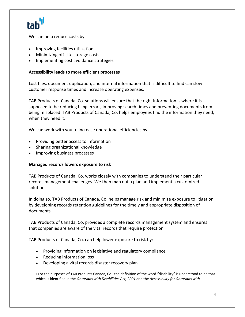We can help reduce costs by:

- Improving facilities utilization
- Minimizing off‐site storage costs
- Implementing cost avoidance strategies

#### **Accessibility leads to more efficient processes**

Lost files, document duplication, and internal information that is difficult to find can slow customer response times and increase operating expenses.

TAB Products of Canada, Co. solutions will ensure that the right information is where it is supposed to be reducing filing errors, improving search times and preventing documents from being misplaced. TAB Products of Canada, Co. helps employees find the information they need, when they need it.

We can work with you to increase operational efficiencies by:

- Providing better access to information
- Sharing organizational knowledge
- Improving business processes

#### **Managed records lowers exposure to risk**

TAB Products of Canada, Co. works closely with companies to understand their particular records management challenges. We then map out a plan and implement a customized solution.

In doing so, TAB Products of Canada, Co. helps manage risk and minimize exposure to litigation by developing records retention guidelines for the timely and appropriate disposition of documents.

TAB Products of Canada, Co. provides a complete records management system and ensures that companies are aware of the vital records that require protection.

TAB Products of Canada, Co. can help lower exposure to risk by:

- Providing information on legislative and regulatory compliance
- Reducing information loss
- Developing a vital records disaster recovery plan

<sup>1</sup> For the purposes of TAB Products Canada, Co. the definition of the word "disability" is understood to be that which is identified in the *Ontarians with Disabilities Act, 2001* and the *Accessibility for Ontarians with*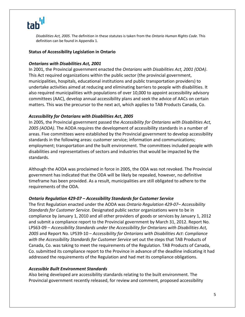### tab<sup>'</sup>

*Disabilities Act, 2005*. The definition in these statutes is taken from the *Ontario Human Rights Code*. This definition can be found in Appendix 1.

#### **Status of Accessibility Legislation in Ontario**

#### *Ontarians with Disabilities Act, 2001*

In 2001, the Provincial government enacted the *Ontarians with Disabilities Act, 2001 (ODA)*. This Act required organizations within the public sector (the provincial government, municipalities, hospitals, educational institutions and public transportation providers) to undertake activities aimed at reducing and eliminating barriers to people with disabilities. It also required municipalities with populations of over 10,000 to appoint accessibility advisory committees (AAC), develop annual accessibility plans and seek the advice of AACs on certain matters. This was the precursor to the next act, which applies to TAB Products Canada, Co.

#### *Accessibility for Ontarians with Disabilities Act***,** *2005*

In 2005, the Provincial government passed the *Accessibility for Ontarians with Disabilities Act, 2005 (AODA)*. The AODA requires the development of accessibility standards in a number of areas. Five committees were established by the Provincial government to develop accessibility standards in the following areas: customer service; information and communications; employment; transportation and the built environment. The committees included people with disabilities and representatives of sectors and industries that would be impacted by the standards.

Although the AODA was proclaimed in force in 2005, the ODA was not revoked. The Provincial government has indicated that the ODA will be likely be repealed, however, no definitive timeframe has been provided. As a result, municipalities are still obligated to adhere to the requirements of the ODA.

#### *Ontario Regulation 429‐07 – Accessibility Standards for Customer Service*

The first Regulation enacted under the AODA was *Ontario Regulation 429‐07– Accessibility Standards for Customer Service*. Designated public sector organizations were to be in compliance by January 1, 2010 and all other providers of goods or services by January 1, 2012 and submit a compliance report to the Provincial government by March 31, 2012. Report No. LPS63‐09 – *Accessibility Standards under the Accessibility for Ontarians with Disabilities Act, 2005* and Report No. LPS39‐10 – *Accessibility for Ontarians with Disabilities Act*: *Compliance with the Accessibility Standards for Customer Service* set out the steps that TAB Products of Canada, Co. was taking to meet the requirements of the Regulation. TAB Products of Canada, Co. submitted its compliance report to the Province in advance of the deadline indicating it had addressed the requirements of the Regulation and had met its compliance obligations.

#### *Accessible Built Environment Standards*

Also being developed are accessibility standards relating to the built environment. The Provincial government recently released, for review and comment, proposed accessibility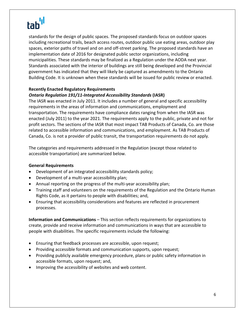### tab''

standards for the design of public spaces. The proposed standards focus on outdoor spaces including recreational trails, beach access routes, outdoor public use eating areas, outdoor play spaces, exterior paths of travel and on and off‐street parking. The proposed standards have an implementation date of 2016 for designated public sector organizations, including municipalities. These standards may be finalized as a Regulation under the AODA next year. Standards associated with the interior of buildings are still being developed and the Provincial government has indicated that they will likely be captured as amendments to the Ontario Building Code. It is unknown when these standards will be issued for public review or enacted.

#### **Recently Enacted Regulatory Requirements**

#### *Ontario Regulation 191/11‐Integrated Accessibility Standards* **(IASR)**

The IASR was enacted in July 2011. It includes a number of general and specific accessibility requirements in the areas of information and communications, employment and transportation. The requirements have compliance dates ranging from when the IASR was enacted (July 2011) to the year 2021. The requirements apply to the public, private and not for profit sectors. The sections of the IASR that most impact TAB Products of Canada, Co. are those related to accessible information and communications, and employment. As TAB Products of Canada, Co. is not a provider of public transit, the transportation requirements do not apply.

The categories and requirements addressed in the Regulation (except those related to accessible transportation) are summarized below.

#### **General Requirements**

- Development of an integrated accessibility standards policy;
- Development of a multi-year accessibility plan;
- Annual reporting on the progress of the multi‐year accessibility plan;
- Training staff and volunteers on the requirements of the Regulation and the Ontario Human Rights Code, as it pertains to people with disabilities; and,
- Ensuring that accessibility considerations and features are reflected in procurement processes.

**Information and Communications** – This section reflects requirements for organizations to create, provide and receive information and communications in ways that are accessible to people with disabilities. The specific requirements include the following:

- Ensuring that feedback processes are accessible, upon request;
- Providing accessible formats and communication supports, upon request;
- Providing publicly available emergency procedure, plans or public safety information in accessible formats, upon request; and,
- Improving the accessibility of websites and web content.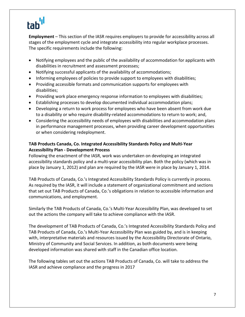### tab

**Employment** – This section of the IASR requires employers to provide for accessibility across all stages of the employment cycle and integrate accessibility into regular workplace processes. The specific requirements include the following:

- Notifying employees and the public of the availability of accommodation for applicants with disabilities in recruitment and assessment processes;
- Notifying successful applicants of the availability of accommodations;
- Informing employees of policies to provide support to employees with disabilities;
- Providing accessible formats and communication supports for employees with disabilities;
- Providing work place emergency response information to employees with disabilities;
- Establishing processes to develop documented individual accommodation plans;
- Developing a return to work process for employees who have been absent from work due to a disability or who require disability-related accommodations to return to work; and,
- Considering the accessibility needs of employees with disabilities and accommodation plans in performance management processes, when providing career development opportunities or when considering redeployment.

#### **TAB Products Canada, Co. Integrated Accessibility Standards Policy and Multi‐Year Accessibility Plan ‐ Development Process**

Following the enactment of the IASR, work was undertaken on developing an integrated accessibility standards policy and a multi‐year accessibility plan. Both the policy (which was in place by January 1, 2012) and plan are required by the IASR were in place by January 1, 2014.

TAB Products of Canada, Co.'s Integrated Accessibility Standards Policy is currently in process. As required by the IASR, it will include a statement of organizational commitment and sections that set out TAB Products of Canada, Co.'s obligations in relation to accessible information and communications, and employment.

Similarly the TAB Products of Canada, Co.'s Multi‐Year Accessibility Plan, was developed to set out the actions the company will take to achieve compliance with the IASR.

The development of TAB Products of Canada, Co.'s Integrated Accessibility Standards Policy and TAB Products of Canada, Co.'s Multi‐Year Accessibility Plan was guided by, and is in keeping with, interpretative materials and resources issued by the Accessibility Directorate of Ontario, Ministry of Community and Social Services. In addition, as both documents were being developed information was shared with staff in the Canadian office location.

The following tables set out the actions TAB Products of Canada, Co. will take to address the IASR and achieve compliance and the progress in 2017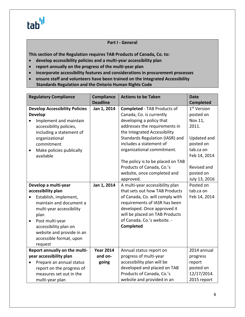### tab<sup>'ıl</sup>

#### **Part I ‐ General**

**This section of the Regulation requires TAB Products of Canada, Co. to:** 

- **develop accessibility policies and a multi‐year accessibility plan**
- **report annually on the progress of the multi‐year plan**
- **incorporate accessibility features and considerations in procurement processes**
- **ensure staff and volunteers have been trained on the Integrated Accessibility Standards Regulation and the Ontario Human Rights Code**

| <b>Regulatory Compliance</b>          | <b>Compliance</b> | <b>Actions to be Taken</b>         | <b>Date</b>             |
|---------------------------------------|-------------------|------------------------------------|-------------------------|
|                                       | <b>Deadline</b>   |                                    | <b>Completed</b>        |
| <b>Develop Accessibility Policies</b> | Jan 1, 2014       | <b>Completed - TAB Products of</b> | 1 <sup>st</sup> Version |
| <b>Develop</b>                        |                   | Canada, Co. is currently           | posted on               |
| Implement and maintain<br>$\bullet$   |                   | developing a policy that           | Nov 11,                 |
| accessibility policies,               |                   | addresses the requirements in      | 2011.                   |
| including a statement of              |                   | the Integrated Accessibility       |                         |
| organizational                        |                   | Standards Regulation (IASR) and    | Updated and             |
| commitment                            |                   | includes a statement of            | posted on               |
| Make policies publically<br>$\bullet$ |                   | organizational commitment.         | tab.ca on               |
| available                             |                   |                                    | Feb 14, 2014            |
|                                       |                   | The policy is to be placed on TAB  |                         |
|                                       |                   | Products of Canada, Co.'s          | Revised and             |
|                                       |                   | website, once completed and        | posted on               |
|                                       |                   | approved.                          | July 13, 2016           |
| Develop a multi-year                  | Jan 1, 2014       | A multi-year accessibility plan    | Posted on               |
| accessibility plan                    |                   | that sets out how TAB Products     | tab.ca on               |
| Establish, implement,<br>$\bullet$    |                   | of Canada, Co. will comply with    | Feb 14, 2014            |
| maintain and document a               |                   | requirements of IASR has been      |                         |
| multi-year accessibility              |                   | developed. Once approved it        |                         |
| plan                                  |                   | will be placed on TAB Products     |                         |
| Post multi-year<br>$\bullet$          |                   | of Canada, Co.'s website. -        |                         |
| accessibility plan on                 |                   | Completed                          |                         |
| website and provide in an             |                   |                                    |                         |
| accessible format, upon               |                   |                                    |                         |
| request                               |                   |                                    |                         |
| Report annually on the multi-         | <b>Year 2014</b>  | Annual status report on            | 2014 annual             |
| year accessibility plan               | and on-           | progress of multi-year             | progress                |
| Prepare an annual status              | going             | accessibility plan will be         | report                  |
| report on the progress of             |                   | developed and placed on TAB        | posted on               |
| measures set out in the               |                   | Products of Canada, Co.'s          | 12/17/2014.             |
| multi-year plan                       |                   | website and provided in an         | 2015 report             |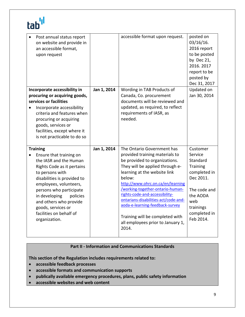| Post annual status report<br>on website and provide in<br>an accessible format,<br>upon request                                                                                                                                                                                                                                 |             | accessible format upon request.                                                                                                                                                                                                                                                                                                                                                                                                                   | posted on<br>$03/16/16$ .<br>2016 report<br>to be posted<br>by Dec 21,<br>2016.2017<br>report to be<br>posted by<br>Dec 31, 2017                      |
|---------------------------------------------------------------------------------------------------------------------------------------------------------------------------------------------------------------------------------------------------------------------------------------------------------------------------------|-------------|---------------------------------------------------------------------------------------------------------------------------------------------------------------------------------------------------------------------------------------------------------------------------------------------------------------------------------------------------------------------------------------------------------------------------------------------------|-------------------------------------------------------------------------------------------------------------------------------------------------------|
| Incorporate accessibility in<br>procuring or acquiring goods,<br>services or facilities<br>Incorporate accessibility<br>criteria and features when<br>procuring or acquiring<br>goods, services or<br>facilities, except where it<br>is not practicable to do so                                                                | Jan 1, 2014 | Wording in TAB Products of<br>Canada, Co. procurement<br>documents will be reviewed and<br>updated, as required, to reflect<br>requirements of IASR, as<br>needed.                                                                                                                                                                                                                                                                                | Updated on<br>Jan 30, 2014                                                                                                                            |
| <b>Training</b><br>Ensure that training on<br>the IASR and the Human<br>Rights Code as it pertains<br>to persons with<br>disabilities is provided to<br>employees, volunteers,<br>persons who participate<br>in developing policies<br>and others who provide<br>goods, services or<br>facilities on behalf of<br>organization. | Jan 1, 2014 | The Ontario Government has<br>provided training materials to<br>be provided to organizations.<br>They will be applied through e-<br>learning at the website link<br>below:<br>http://www.ohrc.on.ca/en/learning<br>/working-together-ontario-human-<br>rights-code-and-accessibility-<br>ontarians-disabilities-act/code-and-<br>aoda-e-learning-feedback-survey<br>Training will be completed with<br>all employees prior to January 1,<br>2014. | Customer<br>Service<br>Standard<br>Training<br>completed in<br>Dec 2011.<br>The code and<br>the AODA<br>web<br>trainings<br>completed in<br>Feb 2014. |

### **Part II ‐ Information and Communications Standards**

**This section of the Regulation includes requirements related to:**

- **accessible feedback processes**
- **accessible formats and communication supports**
- **publically available emergency procedures, plans, public safety information**
- **accessible websites and web content**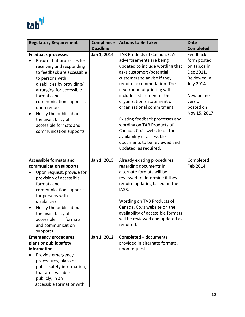## tab<sup>'ıl</sup>

| <b>Regulatory Requirement</b>        | <b>Compliance</b> | <b>Actions to Be Taken</b>         | <b>Date</b>      |
|--------------------------------------|-------------------|------------------------------------|------------------|
|                                      | <b>Deadline</b>   |                                    | <b>Completed</b> |
| <b>Feedback processes</b>            | Jan 1, 2014       | TAB Products of Canada, Co's       | Feedback         |
| Ensure that processes for            |                   | advertisements are being           | form posted      |
| receiving and responding             |                   | updated to include wording that    | on tab.ca in     |
| to feedback are accessible           |                   | asks customers/potential           | Dec 2011.        |
| to persons with                      |                   | customers to advise if they        | Reviewed in      |
| disabilities by providing/           |                   | require accommodation. The         | July 2014.       |
| arranging for accessible             |                   | next round of printing will        |                  |
| formats and                          |                   | include a statement of the         | New online       |
| communication supports,              |                   | organization's statement of        | version          |
| upon request                         |                   | organizational commitment.         | posted on        |
| Notify the public about<br>$\bullet$ |                   |                                    | Nov 15, 2017     |
| the availability of                  |                   | Existing feedback processes and    |                  |
| accessible formats and               |                   | wording on TAB Products of         |                  |
| communication supports               |                   | Canada, Co.'s website on the       |                  |
|                                      |                   | availability of accessible         |                  |
|                                      |                   | documents to be reviewed and       |                  |
|                                      |                   | updated, as required.              |                  |
| <b>Accessible formats and</b>        | Jan 1, 2015       | Already existing procedures        | Completed        |
| communication supports               |                   | regarding documents in             | Feb 2014         |
| Upon request, provide for            |                   | alternate formats will be          |                  |
| provision of accessible              |                   | reviewed to determine if they      |                  |
| formats and                          |                   | require updating based on the      |                  |
| communication supports               |                   | IASR.                              |                  |
| for persons with                     |                   |                                    |                  |
| disabilities                         |                   | Wording on TAB Products of         |                  |
| Notify the public about<br>٠         |                   | Canada, Co.'s website on the       |                  |
| the availability of                  |                   | availability of accessible formats |                  |
| accessible<br>formats                |                   | will be reviewed and updated as    |                  |
| and communication                    |                   | required.                          |                  |
| supports                             |                   |                                    |                  |
| <b>Emergency procedures,</b>         | Jan 1, 2012       | <b>Completed - documents</b>       |                  |
| plans or public safety               |                   | provided in alternate formats,     |                  |
| information                          |                   | upon request.                      |                  |
| Provide emergency                    |                   |                                    |                  |
| procedures, plans or                 |                   |                                    |                  |
| public safety information,           |                   |                                    |                  |
| that are available                   |                   |                                    |                  |
| publicly, in an                      |                   |                                    |                  |
| accessible format or with            |                   |                                    |                  |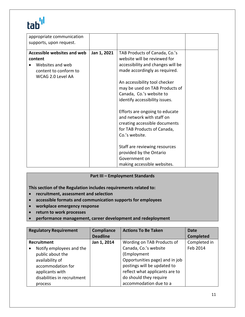### tab'<sup>l</sup>

| appropriate communication   |             |                                   |  |
|-----------------------------|-------------|-----------------------------------|--|
| supports, upon request.     |             |                                   |  |
| Accessible websites and web | Jan 1, 2021 | TAB Products of Canada, Co.'s     |  |
| content                     |             | website will be reviewed for      |  |
| Websites and web            |             | accessibility and changes will be |  |
| content to conform to       |             | made accordingly as required.     |  |
| WCAG 2.0 Level AA           |             |                                   |  |
|                             |             | An accessibility tool checker     |  |
|                             |             | may be used on TAB Products of    |  |
|                             |             | Canada, Co.'s website to          |  |
|                             |             | identify accessibility issues.    |  |
|                             |             |                                   |  |
|                             |             | Efforts are ongoing to educate    |  |
|                             |             | and network with staff on         |  |
|                             |             | creating accessible documents     |  |
|                             |             | for TAB Products of Canada,       |  |
|                             |             | Co.'s website.                    |  |
|                             |             |                                   |  |
|                             |             | Staff are reviewing resources     |  |
|                             |             | provided by the Ontario           |  |
|                             |             | Government on                     |  |
|                             |             | making accessible websites.       |  |

#### **Part III – Employment Standards**

**This section of the Regulation includes requirements related to:**

- **recruitment, assessment and selection**
- **accessible formats and communication supports for employees**
- **workplace emergency response**
- **return to work processes**
- **performance management, career development and redeployment**

|                  | <b>Regulatory Requirement</b> | <b>Compliance</b> | <b>Actions To Be Taken</b>     | Date             |
|------------------|-------------------------------|-------------------|--------------------------------|------------------|
|                  |                               | <b>Deadline</b>   |                                | <b>Completed</b> |
| Recruitment      |                               | Jan 1, 2014       | Wording on TAB Products of     | Completed in     |
|                  | Notify employees and the      |                   | Canada, Co.'s website          | Feb 2014         |
| public about the |                               |                   | (Employment                    |                  |
| availability of  |                               |                   | Opportunities page) and in job |                  |
|                  | accommodation for             |                   | postings will be updated to    |                  |
| applicants with  |                               |                   | reflect what applicants are to |                  |
|                  | disabilities in recruitment   |                   | do should they require         |                  |
| process          |                               |                   | accommodation due to a         |                  |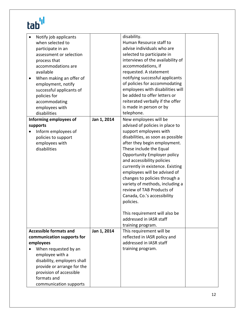## tab'<sup>ıl</sup>

| Notify job applicants<br>when selected to<br>participate in an<br>assessment or selection<br>process that<br>accommodations are<br>available<br>When making an offer of<br>employment, notify<br>successful applicants of<br>policies for<br>accommodating<br>employees with<br>disabilities<br>Informing employees of<br>supports<br>Inform employees of<br>policies to support<br>employees with<br>disabilities | Jan 1, 2014 | disability.<br>Human Resource staff to<br>advise individuals who are<br>selected to participate in<br>interviews of the availability of<br>accommodations, if<br>requested. A statement<br>notifying successful applicants<br>of policies for accommodating<br>employees with disabilities will<br>be added to offer letters or<br>reiterated verbally if the offer<br>is made in person or by<br>telephone.<br>New employees will be<br>advised of policies in place to<br>support employees with<br>disabilities, as soon as possible<br>after they begin employment.<br>These include the Equal<br>Opportunity Employer policy<br>and accessibility policies<br>currently in existence. Existing<br>employees will be advised of<br>changes to policies through a<br>variety of methods, including a<br>review of TAB Products of<br>Canada, Co.'s accessibility<br>policies.<br>This requirement will also be<br>addressed in IASR staff<br>training program. |  |
|--------------------------------------------------------------------------------------------------------------------------------------------------------------------------------------------------------------------------------------------------------------------------------------------------------------------------------------------------------------------------------------------------------------------|-------------|-------------------------------------------------------------------------------------------------------------------------------------------------------------------------------------------------------------------------------------------------------------------------------------------------------------------------------------------------------------------------------------------------------------------------------------------------------------------------------------------------------------------------------------------------------------------------------------------------------------------------------------------------------------------------------------------------------------------------------------------------------------------------------------------------------------------------------------------------------------------------------------------------------------------------------------------------------------------|--|
| <b>Accessible formats and</b>                                                                                                                                                                                                                                                                                                                                                                                      | Jan 1, 2014 | This requirement will be                                                                                                                                                                                                                                                                                                                                                                                                                                                                                                                                                                                                                                                                                                                                                                                                                                                                                                                                          |  |
| communication supports for                                                                                                                                                                                                                                                                                                                                                                                         |             | reflected in IASR policy and                                                                                                                                                                                                                                                                                                                                                                                                                                                                                                                                                                                                                                                                                                                                                                                                                                                                                                                                      |  |
| employees                                                                                                                                                                                                                                                                                                                                                                                                          |             | addressed in IASR staff                                                                                                                                                                                                                                                                                                                                                                                                                                                                                                                                                                                                                                                                                                                                                                                                                                                                                                                                           |  |
| When requested by an                                                                                                                                                                                                                                                                                                                                                                                               |             | training program.                                                                                                                                                                                                                                                                                                                                                                                                                                                                                                                                                                                                                                                                                                                                                                                                                                                                                                                                                 |  |
| employee with a<br>disability, employers shall                                                                                                                                                                                                                                                                                                                                                                     |             |                                                                                                                                                                                                                                                                                                                                                                                                                                                                                                                                                                                                                                                                                                                                                                                                                                                                                                                                                                   |  |
| provide or arrange for the                                                                                                                                                                                                                                                                                                                                                                                         |             |                                                                                                                                                                                                                                                                                                                                                                                                                                                                                                                                                                                                                                                                                                                                                                                                                                                                                                                                                                   |  |
| provision of accessible                                                                                                                                                                                                                                                                                                                                                                                            |             |                                                                                                                                                                                                                                                                                                                                                                                                                                                                                                                                                                                                                                                                                                                                                                                                                                                                                                                                                                   |  |
| formats and                                                                                                                                                                                                                                                                                                                                                                                                        |             |                                                                                                                                                                                                                                                                                                                                                                                                                                                                                                                                                                                                                                                                                                                                                                                                                                                                                                                                                                   |  |
| communication supports                                                                                                                                                                                                                                                                                                                                                                                             |             |                                                                                                                                                                                                                                                                                                                                                                                                                                                                                                                                                                                                                                                                                                                                                                                                                                                                                                                                                                   |  |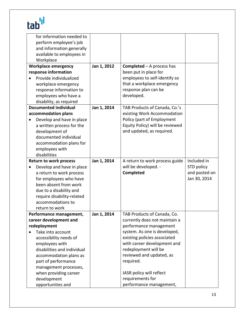# tab''

| for information needed to                       |             |                                    |               |
|-------------------------------------------------|-------------|------------------------------------|---------------|
| perform employee's job                          |             |                                    |               |
| and information generally                       |             |                                    |               |
| available to employees in                       |             |                                    |               |
| Workplace                                       |             |                                    |               |
| <b>Workplace emergency</b>                      | Jan 1, 2012 | <b>Completed</b> $-$ A process has |               |
| response information                            |             | been put in place for              |               |
| Provide individualized                          |             | employees to self-identify so      |               |
| workplace emergency                             |             | that a workplace emergency         |               |
| response information to                         |             | response plan can be               |               |
| employees who have a                            |             | developed.                         |               |
| disability, as required                         |             |                                    |               |
| <b>Documented individual</b>                    | Jan 1, 2014 | TAB Products of Canada, Co.'s      |               |
| accommodation plans                             |             | existing Work Accommodation        |               |
| Develop and have in place                       |             | Policy (part of Employment         |               |
| a written process for the                       |             | Equity Policy) will be reviewed    |               |
| development of                                  |             | and updated, as required.          |               |
| documented individual                           |             |                                    |               |
| accommodation plans for                         |             |                                    |               |
| employees with                                  |             |                                    |               |
| disabilities                                    |             |                                    |               |
| <b>Return to work process</b>                   | Jan 1, 2014 | A return to work process guide     | Included in   |
| Develop and have in place                       |             | will be developed. -               | STD policy    |
| a return to work process                        |             | Completed                          | and posted on |
| for employees who have                          |             |                                    | Jan 30, 2014  |
| been absent from work                           |             |                                    |               |
|                                                 |             |                                    |               |
| due to a disability and                         |             |                                    |               |
| require disability-related<br>accommodations to |             |                                    |               |
|                                                 |             |                                    |               |
| return to work                                  |             |                                    |               |
| Performance management,                         | Jan 1, 2014 | TAB Products of Canada, Co.        |               |
| career development and                          |             | currently does not maintain a      |               |
| redeployment                                    |             | performance management             |               |
| Take into account                               |             | system. As one is developed,       |               |
| accessibility needs of                          |             | existing policies associated       |               |
| employees with                                  |             | with career development and        |               |
| disabilities and individual                     |             | redeployment will be               |               |
| accommodation plans as                          |             | reviewed and updated, as           |               |
| part of performance                             |             | required.                          |               |
| management processes,                           |             |                                    |               |
| when providing career                           |             | IASR policy will reflect           |               |
| development                                     |             | requirements for                   |               |
| opportunities and                               |             | performance management,            |               |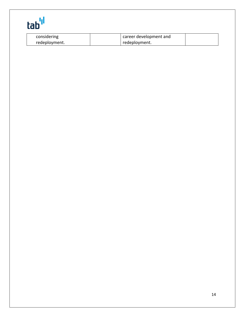| ŀ<br>I.<br>L<br>L<br>$\blacksquare$ |  |
|-------------------------------------|--|

| considering   | career development and |  |
|---------------|------------------------|--|
| redeployment. | redeployment.          |  |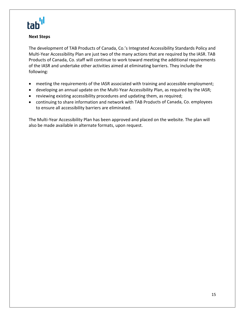

#### **Next Steps**

The development of TAB Products of Canada, Co.'s Integrated Accessibility Standards Policy and Multi‐Year Accessibility Plan are just two of the many actions that are required by the IASR. TAB Products of Canada, Co. staff will continue to work toward meeting the additional requirements of the IASR and undertake other activities aimed at eliminating barriers. They include the following:

- meeting the requirements of the IASR associated with training and accessible employment;
- developing an annual update on the Multi-Year Accessibility Plan, as required by the IASR;
- reviewing existing accessibility procedures and updating them, as required;
- continuing to share information and network with TAB Products of Canada, Co. employees to ensure all accessibility barriers are eliminated.

The Multi-Year Accessibility Plan has been approved and placed on the website. The plan will also be made available in alternate formats, upon request.